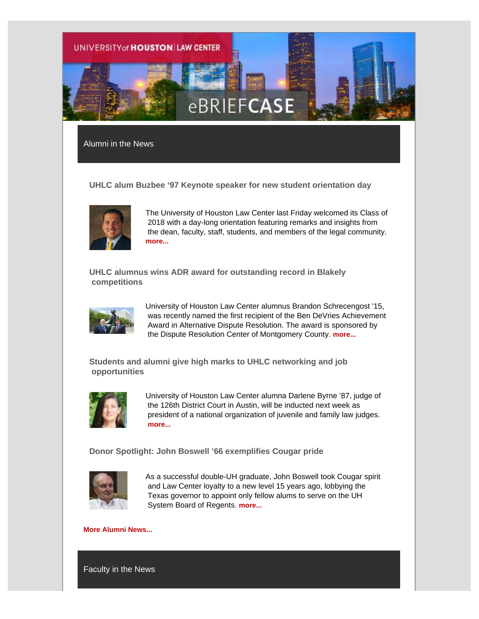

Alumni in the News

**UHLC alum Buzbee '97 Keynote speaker for new student orientation day**



The University of Houston Law Center last Friday welcomed its Class of 2018 with a day-long orientation featuring remarks and insights from the dean, faculty, staff, students, and members of the legal community. **[more...](http://uhouston.imodules.com/redirect.aspx?linkID=32373&eid=293047)**

**UHLC alumnus wins ADR award for outstanding record in Blakely competitions**



University of Houston Law Center alumnus Brandon Schrecengost '15, was recently named the first recipient of the Ben DeVries Achievement Award in Alternative Dispute Resolution. The award is sponsored by the Dispute Resolution Center of Montgomery County. **[more...](http://uhouston.imodules.com/redirect.aspx?linkID=32372&eid=293047)**

**Students and alumni give high marks to UHLC networking and job opportunities**



University of Houston Law Center alumna Darlene Byrne '87, judge of the 126th District Court in Austin, will be inducted next week as president of a national organization of juvenile and family law judges. **[more...](http://uhouston.imodules.com/redirect.aspx?linkID=32371&eid=293047)**

**Donor Spotlight: John Boswell '66 exemplifies Cougar pride**



As a successful double-UH graduate, John Boswell took Cougar spirit and Law Center loyalty to a new level 15 years ago, lobbying the Texas governor to appoint only fellow alums to serve on the UH System Board of Regents. **[more...](http://uhouston.imodules.com/redirect.aspx?linkID=32370&eid=293047)**

### **[More Alumni News...](http://uhouston.imodules.com/redirect.aspx?linkID=32369&eid=293047)**

Faculty in the News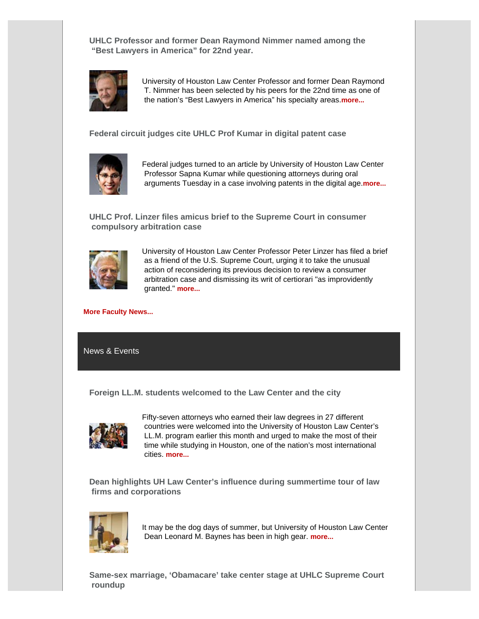**UHLC Professor and former Dean Raymond Nimmer named among the "Best Lawyers in America" for 22nd year.**



University of Houston Law Center Professor and former Dean Raymond T. Nimmer has been selected by his peers for the 22nd time as one of the nation's "Best Lawyers in America" his specialty areas.**[more...](http://uhouston.imodules.com/redirect.aspx?linkID=32368&eid=293047)**

**Federal circuit judges cite UHLC Prof Kumar in digital patent case**



Federal judges turned to an article by University of Houston Law Center Professor Sapna Kumar while questioning attorneys during oral arguments Tuesday in a case involving patents in the digital age.**[more...](http://uhouston.imodules.com/redirect.aspx?linkID=32367&eid=293047)**

**UHLC Prof. Linzer files amicus brief to the Supreme Court in consumer compulsory arbitration case**



University of Houston Law Center Professor Peter Linzer has filed a brief as a friend of the U.S. Supreme Court, urging it to take the unusual action of reconsidering its previous decision to review a consumer arbitration case and dismissing its writ of certiorari "as improvidently granted." **[more...](http://uhouston.imodules.com/redirect.aspx?linkID=32366&eid=293047)**

#### **[More Faculty News...](http://uhouston.imodules.com/redirect.aspx?linkID=32365&eid=293047)**

News & Events

**Foreign LL.M. students welcomed to the Law Center and the city**



Fifty-seven attorneys who earned their law degrees in 27 different countries were welcomed into the University of Houston Law Center's LL.M. program earlier this month and urged to make the most of their time while studying in Houston, one of the nation's most international cities. **[more...](http://uhouston.imodules.com/redirect.aspx?linkID=32364&eid=293047)**

**Dean highlights UH Law Center's influence during summertime tour of law firms and corporations**



It may be the dog days of summer, but University of Houston Law Center Dean Leonard M. Baynes has been in high gear. **[more...](http://uhouston.imodules.com/redirect.aspx?linkID=32363&eid=293047)**

**Same-sex marriage, 'Obamacare' take center stage at UHLC Supreme Court roundup**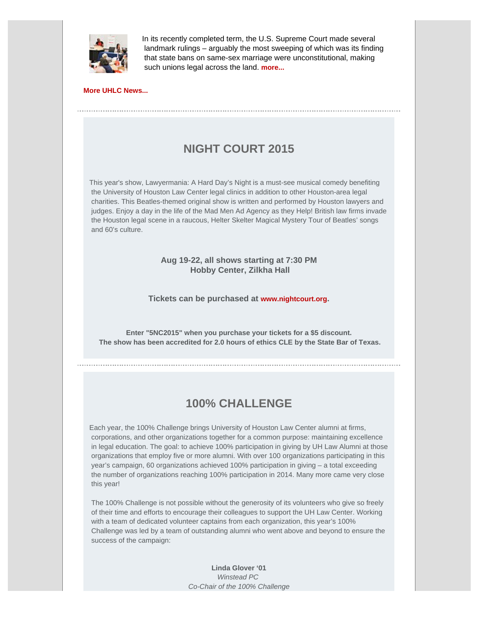

In its recently completed term, the U.S. Supreme Court made several landmark rulings – arguably the most sweeping of which was its finding that state bans on same-sex marriage were unconstitutional, making such unions legal across the land. **[more...](http://uhouston.imodules.com/redirect.aspx?linkID=32362&eid=293047)**

**[More UHLC News...](http://uhouston.imodules.com/redirect.aspx?linkID=32361&eid=293047)**

# **NIGHT COURT 2015**

This year's show, Lawyermania: A Hard Day's Night is a must-see musical comedy benefiting the University of Houston Law Center legal clinics in addition to other Houston-area legal charities. This Beatles-themed original show is written and performed by Houston lawyers and judges. Enjoy a day in the life of the Mad Men Ad Agency as they Help! British law firms invade the Houston legal scene in a raucous, Helter Skelter Magical Mystery Tour of Beatles' songs and 60's culture.

## **Aug 19-22, all shows starting at 7:30 PM Hobby Center, Zilkha Hall**

## **Tickets can be purchased at [www.nightcourt.org](http://uhouston.imodules.com/redirect.aspx?linkID=32355&eid=293047).**

**Enter "5NC2015" when you purchase your tickets for a \$5 discount. The show has been accredited for 2.0 hours of ethics CLE by the State Bar of Texas.**

## **100% CHALLENGE**

Each year, the 100% Challenge brings University of Houston Law Center alumni at firms, corporations, and other organizations together for a common purpose: maintaining excellence in legal education. The goal: to achieve 100% participation in giving by UH Law Alumni at those organizations that employ five or more alumni. With over 100 organizations participating in this year's campaign, 60 organizations achieved 100% participation in giving – a total exceeding the number of organizations reaching 100% participation in 2014. Many more came very close this year!

 The 100% Challenge is not possible without the generosity of its volunteers who give so freely of their time and efforts to encourage their colleagues to support the UH Law Center. Working with a team of dedicated volunteer captains from each organization, this year's 100% Challenge was led by a team of outstanding alumni who went above and beyond to ensure the success of the campaign:

> **Linda Glover '01** *Winstead PC Co-Chair of the 100% Challenge*